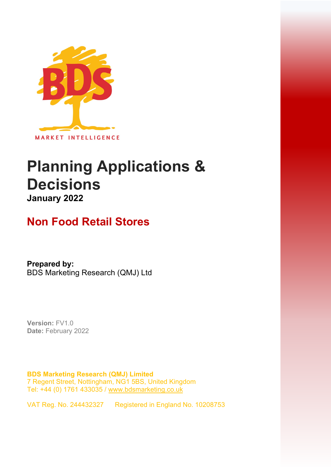

## **Planning Applications & Decisions January 2022**

## **Non Food Retail Stores**

**Prepared by:**  BDS Marketing Research (QMJ) Ltd

**Version:** FV1.0 **Date:** February 2022

**BDS Marketing Research (QMJ) Limited**  7 Regent Street, Nottingham, NG1 5BS, United Kingdom Tel: +44 (0) 1761 433035 [/ www.bdsmarketing.co.uk](http://www.bdsmarketing.co.uk/)

VAT Reg. No. 244432327 Registered in England No. 10208753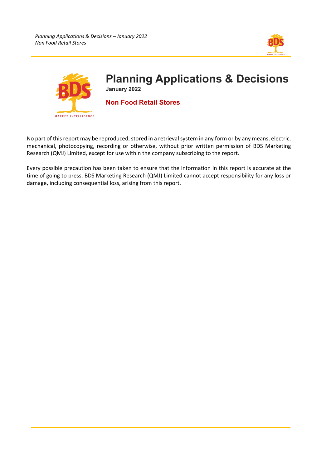



No part of this report may be reproduced, stored in a retrieval system in any form or by any means, electric, mechanical, photocopying, recording or otherwise, without prior written permission of BDS Marketing Research (QMJ) Limited, except for use within the company subscribing to the report.

Every possible precaution has been taken to ensure that the information in this report is accurate at the time of going to press. BDS Marketing Research (QMJ) Limited cannot accept responsibility for any loss or damage, including consequential loss, arising from this report.